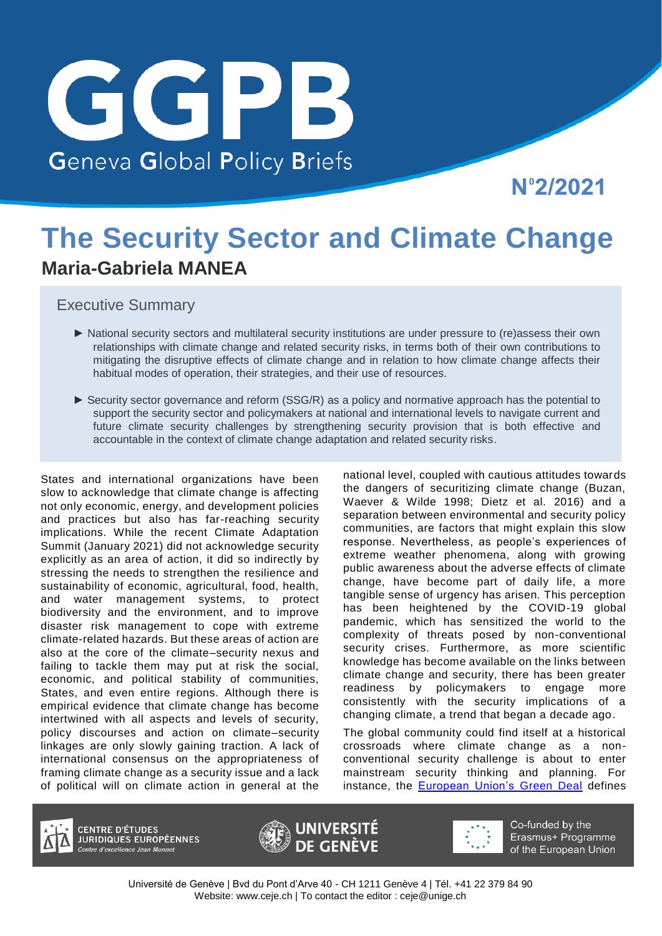

Nº2/2021

# **The Security Sector and Climate Change Maria-Gabriela MANEA**

Executive Summary

- ► National security sectors and multilateral security institutions are under pressure to (re)assess their own relationships with climate change and related security risks, in terms both of their own contributions to mitigating the disruptive effects of climate change and in relation to how climate change affects their habitual modes of operation, their strategies, and their use of resources.
- ► Security sector governance and reform (SSG/R) as a policy and normative approach has the potential to support the security sector and policymakers at national and international levels to navigate current and future climate security challenges by strengthening security provision that is both effective and accountable in the context of climate change adaptation and related security risks.

States and international organizations have been slow to acknowledge that climate change is affecting not only economic, energy, and development policies and practices but also has far-reaching security implications. While the recent Climate Adaptation Summit (January 2021) did not acknowledge security explicitly as an area of action, it did so indirectly by stressing the needs to strengthen the resilience and sustainability of economic, agricultural, food, health, and water management systems, to protect biodiversity and the environment, and to improve disaster risk management to cope with extreme climate-related hazards. But these areas of action are also at the core of the climate–security nexus and failing to tackle them may put at risk the social, economic, and political stability of communities, States, and even entire regions. Although there is empirical evidence that climate change has become intertwined with all aspects and levels of security, policy discourses and action on climate–security linkages are only slowly gaining traction. A lack of international consensus on the appropriateness of framing climate change as a security issue and a lack of political will on climate action in general at the

national level, coupled with cautious attitudes towards the dangers of securitizing climate change (Buzan, Waever & Wilde 1998; Dietz et al. 2016) and a separation between environmental and security policy communities, are factors that might explain this slow response. Nevertheless, as people's experiences of extreme weather phenomena, along with growing public awareness about the adverse effects of climate change, have become part of daily life, a more tangible sense of urgency has arisen. This perception has been heightened by the COVID-19 global pandemic, which has sensitized the world to the complexity of threats posed by non-conventional security crises. Furthermore, as more scientific knowledge has become available on the links between climate change and security, there has been greater readiness by policymakers to engage more consistently with the security implications of a changing climate, a trend that began a decade ago.

The global community could find itself at a historical crossroads where climate change as a nonconventional security challenge is about to enter mainstream security thinking and planning. For instance, the [European Union's Green Deal](https://ec.europa.eu/info/sites/info/files/european-green-deal-communication_en.pdf) defines

**CENTRE D'ÉTUDES** JURIDIQUES EUROPÉENNES ntre d'excellence Jean Monnet





Co-funded by the Erasmus+ Programme of the European Union

Université de Genève | Bvd du Pont d'Arve 40 - CH 1211 Genève 4 | Tél. +41 22 379 84 90 Website: [www.ceje.ch |](http://www.ceje.ch/) To contact the editor : [ceje@unige.ch](mailto:ceje@unige.ch)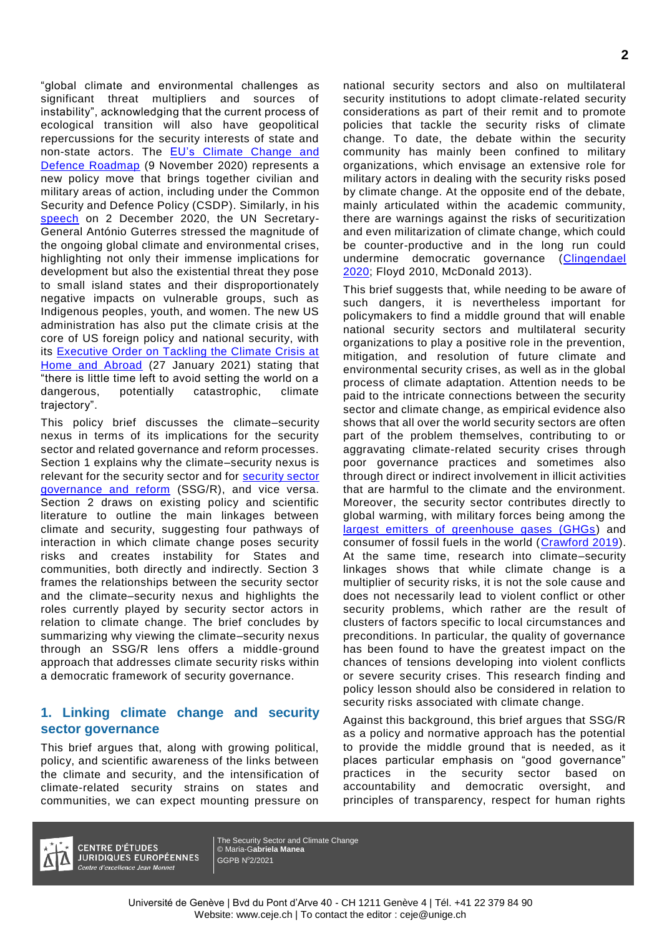"global climate and environmental challenges as significant threat multipliers and sources of instability", acknowledging that the current process of ecological transition will also have geopolitical repercussions for the security interests of state and non-state actors. The **EU's Climate Change and** [Defence Roadmap](https://data.consilium.europa.eu/doc/document/ST-12741-2020-INIT/en/pdf) (9 November 2020) represents a new policy move that brings together civilian and military areas of action, including under the Common Security and Defence Policy (CSDP). Similarly, in his [speech](https://news.un.org/en/audio/2020/12/1079052) on 2 December 2020, the UN Secretary-General António Guterres stressed the magnitude of the ongoing global climate and environmental crises, highlighting not only their immense implications for development but also the existential threat they pose to small island states and their disproportionately negative impacts on vulnerable groups, such as Indigenous peoples, youth, and women. The new US administration has also put the climate crisis at the core of US foreign policy and national security, with its [Executive Order on Tackling the Climate Crisis at](https://www.whitehouse.gov/briefing-room/presidential-actions/2021/01/27/executive-order-on-tackling-the-climate-crisis-at-home-and-abroad/)  [Home and Abroad](https://www.whitehouse.gov/briefing-room/presidential-actions/2021/01/27/executive-order-on-tackling-the-climate-crisis-at-home-and-abroad/) (27 January 2021) stating that "there is little time left to avoid setting the world on a dangerous, potentially catastrophic, climate trajectory".

This policy brief discusses the climate–security nexus in terms of its implications for the security sector and related governance and reform processes. Section 1 explains why the climate–security nexus is relevant for the [security sector](https://www.dcaf.ch/resources?type=publications&id=2719) and for **security sector** [governance and reform](https://www.dcaf.ch/resources?type=publications&id=2719) (SSG/R), and vice versa. Section 2 draws on existing policy and scientific literature to outline the main linkages between climate and security, suggesting four pathways of interaction in which climate change poses security risks and creates instability for States and communities, both directly and indirectly. Section 3 frames the relationships between the security sector and the climate–security nexus and highlights the roles currently played by security sector actors in relation to climate change. The brief concludes by summarizing why viewing the climate–security nexus through an SSG/R lens offers a middle-ground approach that addresses climate security risks within a democratic framework of security governance.

#### **1. Linking climate change and security sector governance**

This brief argues that, along with growing political, policy, and scientific awareness of the links between the climate and security, and the intensification of climate-related security strains on states and communities, we can expect mounting pressure on national security sectors and also on multilateral security institutions to adopt climate-related security considerations as part of their remit and to promote policies that tackle the security risks of climate change. To date, the debate within the security community has mainly been confined to military organizations, which envisage an extensive role for military actors in dealing with the security risks posed by climate change. At the opposite end of the debate, mainly articulated within the academic community, there are warnings against the risks of securitization and even militarization of climate change, which could be counter-productive and in the long run could undermine democratic governance (Clingendael [2020;](https://www.planetarysecurityinitiative.org/sites/default/files/2020-10/CA_PSI_Militarisation_of_CC.pdf) Floyd 2010, McDonald 2013).

This brief suggests that, while needing to be aware of such dangers, it is nevertheless important for policymakers to find a middle ground that will enable national security sectors and multilateral security organizations to play a positive role in the prevention, mitigation, and resolution of future climate and environmental security crises, as well as in the global process of climate adaptation. Attention needs to be paid to the intricate connections between the security sector and climate change, as empirical evidence also shows that all over the world security sectors are often part of the problem themselves, contributing to or aggravating climate-related security crises through poor governance practices and sometimes also through direct or indirect involvement in illicit activities that are harmful to the climate and the environment. Moreover, the security sector contributes directly to global warming, with military forces being among the [largest emitters of greenhouse gases \(GHGs\)](https://watson.brown.edu/costsofwar/costs/social/environment) and consumer of fossil fuels in the world [\(Crawford 2019\)](https://watson.brown.edu/costsofwar/files/cow/imce/papers/Pentagon%20Fuel%20Use%2C%20Climate%20Change%20and%20the%20Costs%20of%20War%20Revised%20November%202019%20Crawford.pdf). At the same time, research into climate–security linkages shows that while climate change is a multiplier of security risks, it is not the sole cause and does not necessarily lead to violent conflict or other security problems, which rather are the result of clusters of factors specific to local circumstances and preconditions. In particular, the quality of governance has been found to have the greatest impact on the chances of tensions developing into violent conflicts or severe security crises. This research finding and policy lesson should also be considered in relation to security risks associated with climate change.

Against this background, this brief argues that SSG/R as a policy and normative approach has the potential to provide the middle ground that is needed, as it places particular emphasis on "good governance" practices in the security sector based on accountability and democratic oversight, and principles of transparency, respect for human rights



**CENTRE D'ÉTUDES JURIDIQUES EUROPÉENNES** Centre d'excellence Jean Monnet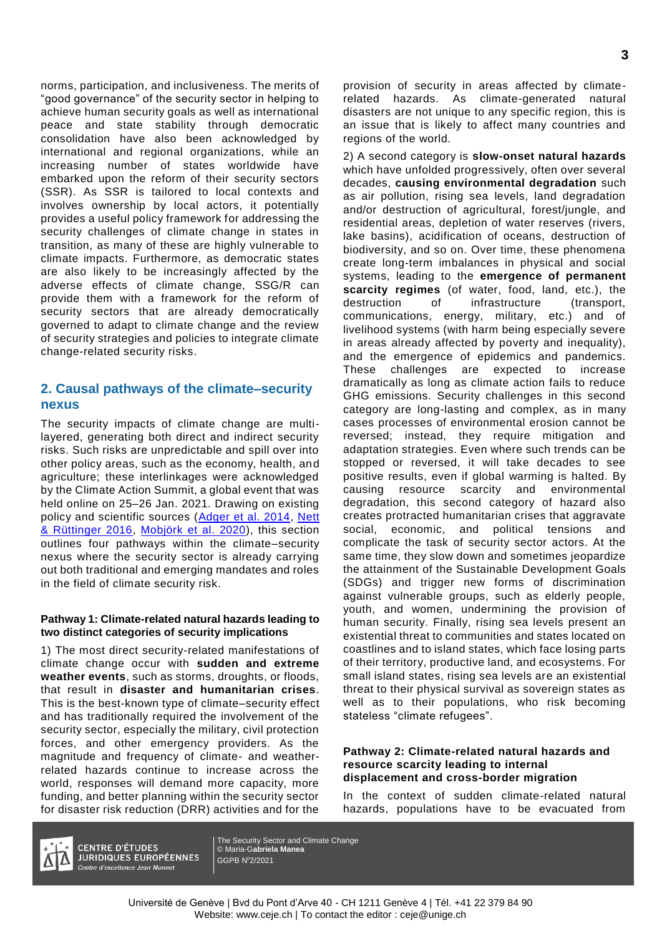norms, participation, and inclusiveness. The merits of "good governance" of the security sector in helping to achieve human security goals as well as international peace and state stability through democratic consolidation have also been acknowledged by international and regional organizations, while an increasing number of states worldwide have embarked upon the reform of their security sectors (SSR). As SSR is tailored to local contexts and involves ownership by local actors, it potentially provides a useful policy framework for addressing the security challenges of climate change in states in transition, as many of these are highly vulnerable to climate impacts. Furthermore, as democratic states are also likely to be increasingly affected by the adverse effects of climate change, SSG/R can provide them with a framework for the reform of security sectors that are already democratically governed to adapt to climate change and the review of security strategies and policies to integrate climate change-related security risks.

#### **2. Causal pathways of the climate–security nexus**

The security impacts of climate change are multilayered, generating both direct and indirect security risks. Such risks are unpredictable and spill over into other policy areas, such as the economy, health, and agriculture; these interlinkages were acknowledged by the Climate Action Summit, a global event that was held online on 25–26 Jan. 2021. Drawing on existing policy and scientific sources [\(Adger et al. 2014,](https://www.ipcc.ch/site/assets/uploads/2018/02/WGIIAR5-Chap12_FINAL.pdf) Nett [& Rüttinger 2016,](https://climate-diplomacy.org/sites/default/files/2020-10/CD%20Report_Insurgency_170724_web.pdf) [Mobjörk et al. 2020\)](https://www.sipri.org/sites/default/files/2020-11/pb_2011_pathways_2.pdf), this section outlines four pathways within the climate–security nexus where the security sector is already carrying out both traditional and emerging mandates and roles in the field of climate security risk.

#### **Pathway 1: Climate-related natural hazards leading to two distinct categories of security implications**

1) The most direct security-related manifestations of climate change occur with **sudden and extreme weather events**, such as storms, droughts, or floods, that result in **disaster and humanitarian crises**. This is the best-known type of climate–security effect and has traditionally required the involvement of the security sector, especially the military, civil protection forces, and other emergency providers. As the magnitude and frequency of climate- and weatherrelated hazards continue to increase across the world, responses will demand more capacity, more funding, and better planning within the security sector for disaster risk reduction (DRR) activities and for the

provision of security in areas affected by climaterelated hazards. As climate-generated natural disasters are not unique to any specific region, this is an issue that is likely to affect many countries and regions of the world.

2) A second category is **slow-onset natural hazards** which have unfolded progressively, often over several decades, **causing environmental degradation** such as air pollution, rising sea levels, land degradation and/or destruction of agricultural, forest/jungle, and residential areas, depletion of water reserves (rivers, lake basins), acidification of oceans, destruction of biodiversity, and so on. Over time, these phenomena create long-term imbalances in physical and social systems, leading to the **emergence of permanent scarcity regimes** (of water, food, land, etc.), the destruction of infrastructure (transport, communications, energy, military, etc.) and of livelihood systems (with harm being especially severe in areas already affected by poverty and inequality), and the emergence of epidemics and pandemics. These challenges are expected to increase dramatically as long as climate action fails to reduce GHG emissions. Security challenges in this second category are long-lasting and complex, as in many cases processes of environmental erosion cannot be reversed; instead, they require mitigation and adaptation strategies. Even where such trends can be stopped or reversed, it will take decades to see positive results, even if global warming is halted. By causing resource scarcity and environmental degradation, this second category of hazard also creates protracted humanitarian crises that aggravate social, economic, and political tensions and complicate the task of security sector actors. At the same time, they slow down and sometimes jeopardize the attainment of the Sustainable Development Goals (SDGs) and trigger new forms of discrimination against vulnerable groups, such as elderly people, youth, and women, undermining the provision of human security. Finally, rising sea levels present an existential threat to communities and states located on coastlines and to island states, which face losing parts of their territory, productive land, and ecosystems. For small island states, rising sea levels are an existential threat to their physical survival as sovereign states as well as to their populations, who risk becoming stateless "climate refugees".

#### **Pathway 2: Climate-related natural hazards and resource scarcity leading to internal displacement and cross-border migration**

In the context of sudden climate-related natural hazards, populations have to be evacuated from



**CENTRE D'ÉTUDES JURIDIQUES EUROPÉENNES** Centre d'excellence Jean Monnet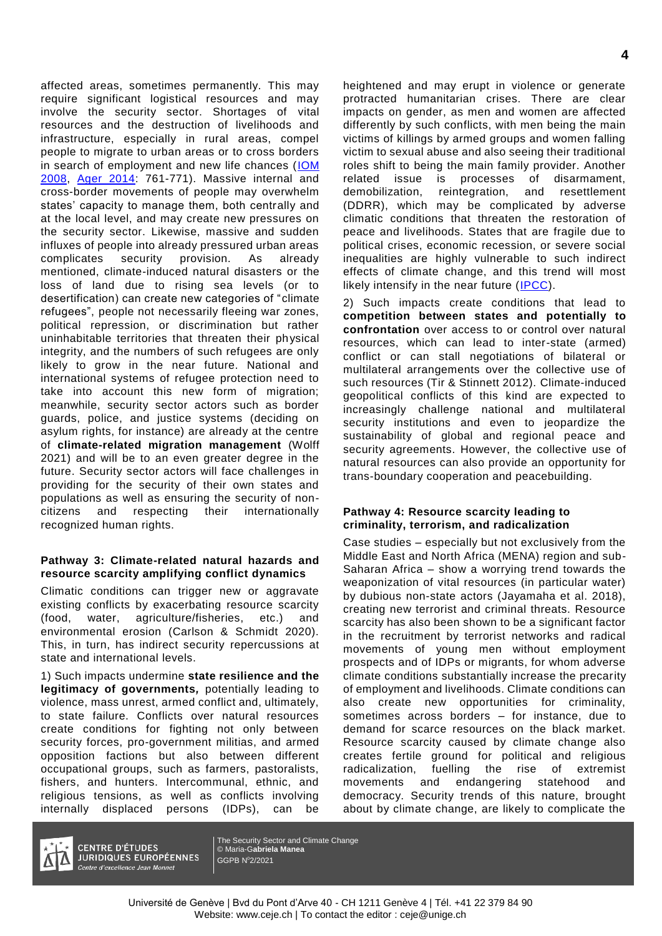affected areas, sometimes permanently. This may require significant logistical resources and may involve the security sector. Shortages of vital resources and the destruction of livelihoods and infrastructure, especially in rural areas, compel people to migrate to urban areas or to cross borders in search of employment and new life chances [\(IOM](file:///C:/Users/maneag/AppData/Local/Temp/5866-1.pdf)  [2008,](file:///C:/Users/maneag/AppData/Local/Temp/5866-1.pdf) [Ager 2014:](https://www.ipcc.ch/site/assets/uploads/2018/02/WGIIAR5-Chap12_FINAL.pdf) 761-771). Massive internal and cross-border movements of people may overwhelm states' capacity to manage them, both centrally and at the local level, and may create new pressures on the security sector. Likewise, massive and sudden influxes of people into already pressured urban areas complicates security provision. As already mentioned, climate-induced natural disasters or the loss of land due to rising sea levels (or to desertification) can create new categories of "climate refugees", people not necessarily fleeing war zones, political repression, or discrimination but rather uninhabitable territories that threaten their physical integrity, and the numbers of such refugees are only likely to grow in the near future. National and international systems of refugee protection need to take into account this new form of migration; meanwhile, security sector actors such as border guards, police, and justice systems (deciding on asylum rights, for instance) are already at the centre of **climate-related migration management** (Wolff 2021) and will be to an even greater degree in the future. Security sector actors will face challenges in providing for the security of their own states and populations as well as ensuring the security of noncitizens and respecting their internationally recognized human rights.

#### **Pathway 3: Climate-related natural hazards and resource scarcity amplifying conflict dynamics**

Climatic conditions can trigger new or aggravate existing conflicts by exacerbating resource scarcity (food, water, agriculture/fisheries, etc.) and environmental erosion (Carlson & Schmidt 2020). This, in turn, has indirect security repercussions at state and international levels.

1) Such impacts undermine **state resilience and the legitimacy of governments***,* potentially leading to violence, mass unrest, armed conflict and, ultimately, to state failure. Conflicts over natural resources create conditions for fighting not only between security forces, pro-government militias, and armed opposition factions but also between different occupational groups, such as farmers, pastoralists, fishers, and hunters. Intercommunal, ethnic, and religious tensions, as well as conflicts involving internally displaced persons (IDPs), can be

heightened and may erupt in violence or generate protracted humanitarian crises. There are clear impacts on gender, as men and women are affected differently by such conflicts, with men being the main victims of killings by armed groups and women falling victim to sexual abuse and also seeing their traditional roles shift to being the main family provider. Another related issue is processes of disarmament, demobilization, reintegration, and resettlement (DDRR), which may be complicated by adverse climatic conditions that threaten the restoration of peace and livelihoods. States that are fragile due to political crises, economic recession, or severe social inequalities are highly vulnerable to such indirect effects of climate change, and this trend will most likely intensify in the near future  $($   $\sqrt{PCC})$ .

2) Such impacts create conditions that lead to **competition between states and potentially to confrontation** over access to or control over natural resources, which can lead to inter-state (armed) conflict or can stall negotiations of bilateral or multilateral arrangements over the collective use of such resources (Tir & Stinnett 2012). Climate-induced geopolitical conflicts of this kind are expected to increasingly challenge national and multilateral security institutions and even to jeopardize the sustainability of global and regional peace and security agreements. However, the collective use of natural resources can also provide an opportunity for trans-boundary cooperation and peacebuilding.

#### **Pathway 4: Resource scarcity leading to criminality, terrorism, and radicalization**

Case studies – especially but not exclusively from the Middle East and North Africa (MENA) region and sub-Saharan Africa – show a worrying trend towards the weaponization of vital resources (in particular water) by dubious non-state actors (Jayamaha et al. 2018), creating new terrorist and criminal threats. Resource scarcity has also been shown to be a significant factor in the recruitment by terrorist networks and radical movements of young men without employment prospects and of IDPs or migrants, for whom adverse climate conditions substantially increase the precarity of employment and livelihoods. Climate conditions can also create new opportunities for criminality, sometimes across borders – for instance, due to demand for scarce resources on the black market. Resource scarcity caused by climate change also creates fertile ground for political and religious radicalization, fuelling the rise of extremist movements and endangering statehood and democracy. Security trends of this nature, brought about by climate change, are likely to complicate the



**CENTRE D'ÉTUDES JURIDIQUES EUROPÉENNES** Centre d'excellence Jean Monnet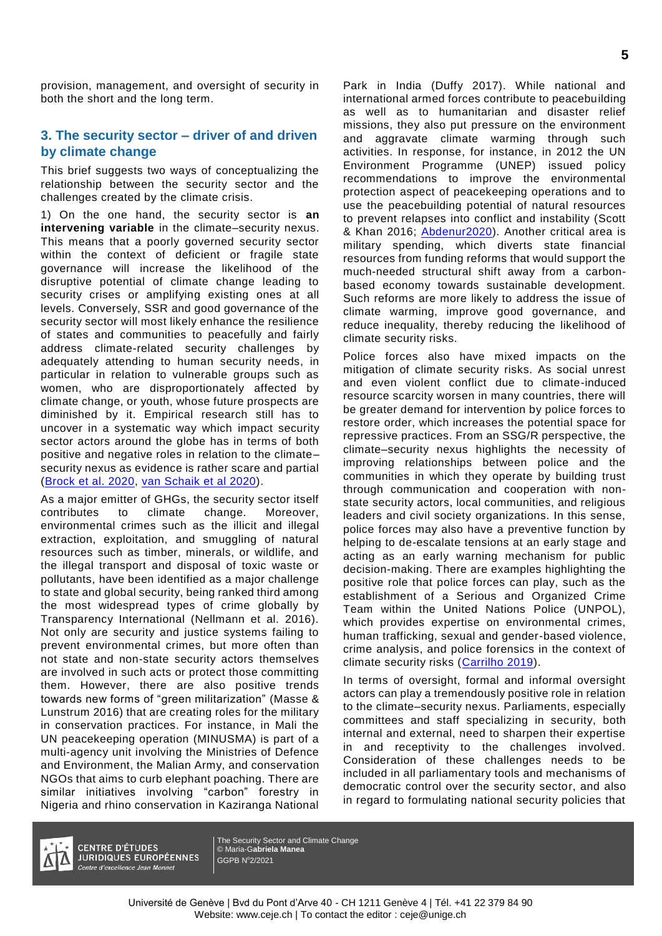provision, management, and oversight of security in both the short and the long term.

### **3. The security sector – driver of and driven by climate change**

This brief suggests two ways of conceptualizing the relationship between the security sector and the challenges created by the climate crisis.

1) On the one hand, the security sector is **an intervening variable** in the climate–security nexus. This means that a poorly governed security sector within the context of deficient or fragile state governance will increase the likelihood of the disruptive potential of climate change leading to security crises or amplifying existing ones at all levels. Conversely, SSR and good governance of the security sector will most likely enhance the resilience of states and communities to peacefully and fairly address climate-related security challenges by adequately attending to human security needs, in particular in relation to vulnerable groups such as women, who are disproportionately affected by climate change, or youth, whose future prospects are diminished by it. Empirical research still has to uncover in a systematic way which impact security sector actors around the globe has in terms of both positive and negative roles in relation to the climate– security nexus as evidence is rather scare and partial [\(Brock et al. 2020,](https://imccs.org/wp-content/uploads/2020/02/World-Climate-Security-Report-2020_2_13.pdf) [van Schaik et al 2020\)](https://www.clingendael.org/sites/default/files/2020-03/Report_Military_Responses_to_Climate_Change_March_2020.pdf).

As a major emitter of GHGs, the security sector itself contributes to climate change. Moreover, environmental crimes such as the illicit and illegal extraction, exploitation, and smuggling of natural resources such as timber, minerals, or wildlife, and the illegal transport and disposal of toxic waste or pollutants, have been identified as a major challenge to state and global security, being ranked third among the most widespread types of crime globally by Transparency International (Nellmann et al. 2016). Not only are security and justice systems failing to prevent environmental crimes, but more often than not state and non-state security actors themselves are involved in such acts or protect those committing them. However, there are also positive trends towards new forms of "green militarization" (Masse & Lunstrum 2016) that are creating roles for the military in conservation practices. For instance, in Mali the UN peacekeeping operation (MINUSMA) is part of a multi-agency unit involving the Ministries of Defence and Environment, the Malian Army, and conservation NGOs that aims to curb elephant poaching. There are similar initiatives involving "carbon" forestry in Nigeria and rhino conservation in Kaziranga National

Park in India (Duffy 2017). While national and international armed forces contribute to peacebuilding as well as to humanitarian and disaster relief missions, they also put pressure on the environment and aggravate climate warming through such activities. In response, for instance, in 2012 the UN Environment Programme (UNEP) issued policy recommendations to improve the environmental protection aspect of peacekeeping operations and to use the peacebuilding potential of natural resources to prevent relapses into conflict and instability (Scott & Khan 2016; [Abdenur2020\)](https://www.stimson.org/wp-content/uploads/2020/09/GloCo-Issue-Brief-Sept-2020-Climate-Security-Peacebuilding-R3.pdf). Another critical area is military spending, which diverts state financial resources from funding reforms that would support the much-needed structural shift away from a carbonbased economy towards sustainable development. Such reforms are more likely to address the issue of climate warming, improve good governance, and reduce inequality, thereby reducing the likelihood of climate security risks.

Police forces also have mixed impacts on the mitigation of climate security risks. As social unrest and even violent conflict due to climate-induced resource scarcity worsen in many countries, there will be greater demand for intervention by police forces to restore order, which increases the potential space for repressive practices. From an SSG/R perspective, the climate–security nexus highlights the necessity of improving relationships between police and the communities in which they operate by building trust through communication and cooperation with nonstate security actors, local communities, and religious leaders and civil society organizations. In this sense, police forces may also have a preventive function by helping to de-escalate tensions at an early stage and acting as an early warning mechanism for public decision-making. There are examples highlighting the positive role that police forces can play, such as the establishment of a Serious and Organized Crime Team within the United Nations Police (UNPOL), which provides expertise on environmental crimes, human trafficking, sexual and gender-based violence, crime analysis, and police forensics in the context of climate security risks [\(Carrilho 2019\)](https://blogs.un.org/blog/2019/09/27/police-as-first-responders-to-the-global-climate-crisis/).

In terms of oversight, formal and informal oversight actors can play a tremendously positive role in relation to the climate–security nexus. Parliaments, especially committees and staff specializing in security, both internal and external, need to sharpen their expertise in and receptivity to the challenges involved. Consideration of these challenges needs to be included in all parliamentary tools and mechanisms of democratic control over the security sector, and also in regard to formulating national security policies that



**CENTRE D'ÉTUDES JURIDIQUES EUROPÉENNES** Centre d'excellence Jean Monnet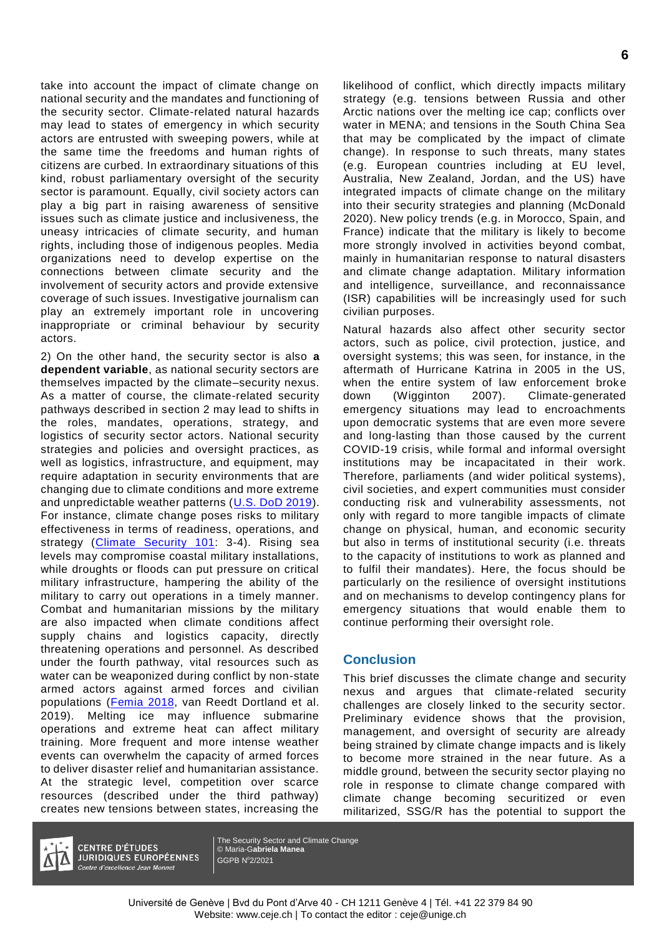take into account the impact of climate change on national security and the mandates and functioning of the security sector. Climate-related natural hazards may lead to states of emergency in which security actors are entrusted with sweeping powers, while at the same time the freedoms and human rights of citizens are curbed. In extraordinary situations of this kind, robust parliamentary oversight of the security sector is paramount. Equally, civil society actors can play a big part in raising awareness of sensitive issues such as climate justice and inclusiveness, the uneasy intricacies of climate security, and human rights, including those of indigenous peoples. Media organizations need to develop expertise on the connections between climate security and the involvement of security actors and provide extensive coverage of such issues. Investigative journalism can play an extremely important role in uncovering inappropriate or criminal behaviour by security actors.

2) On the other hand, the security sector is also **a dependent variable**, as national security sectors are themselves impacted by the climate–security nexus. As a matter of course, the climate-related security pathways described in section 2 may lead to shifts in the roles, mandates, operations, strategy, and logistics of security sector actors. National security strategies and policies and oversight practices, as well as logistics, infrastructure, and equipment, may require adaptation in security environments that are changing due to climate conditions and more extreme and unpredictable weather patterns [\(U.S. DoD 2019\)](https://media.defense.gov/2019/Jan/29/2002084200/-1/-1/1/CLIMATE-CHANGE-REPORT-2019.PDF). For instance, climate change poses risks to military effectiveness in terms of readiness, operations, and strategy [\(Climate Security 101:](https://climatesecurity101.files.wordpress.com/2015/02/climate-security-101-2_21_15.pdf) 3-4). Rising sea levels may compromise coastal military installations, while droughts or floods can put pressure on critical military infrastructure, hampering the ability of the military to carry out operations in a timely manner. Combat and humanitarian missions by the military are also impacted when climate conditions affect supply chains and logistics capacity, directly threatening operations and personnel. As described under the fourth pathway, vital resources such as water can be weaponized during conflict by non-state armed actors against armed forces and civilian populations [\(Femia 2018,](https://climateandsecurity.org/wp-content/uploads/2018/02/military-expert-panel-report_sea-level-rise-and-the-us-militarys-mission_2nd-edition_02_2018.pdf) van Reedt Dortland et al. 2019). Melting ice may influence submarine operations and extreme heat can affect military training. More frequent and more intense weather events can overwhelm the capacity of armed forces to deliver disaster relief and humanitarian assistance. At the strategic level, competition over scarce resources (described under the third pathway) creates new tensions between states, increasing the

likelihood of conflict, which directly impacts military strategy (e.g. tensions between Russia and other Arctic nations over the melting ice cap; conflicts over water in MENA; and tensions in the South China Sea that may be complicated by the impact of climate change). In response to such threats, many states (e.g. European countries including at EU level, Australia, New Zealand, Jordan, and the US) have integrated impacts of climate change on the military into their security strategies and planning (McDonald 2020). New policy trends (e.g. in Morocco, Spain, and France) indicate that the military is likely to become more strongly involved in activities beyond combat, mainly in humanitarian response to natural disasters and climate change adaptation. Military information and intelligence, surveillance, and reconnaissance (ISR) capabilities will be increasingly used for such civilian purposes.

Natural hazards also affect other security sector actors, such as police, civil protection, justice, and oversight systems; this was seen, for instance, in the aftermath of Hurricane Katrina in 2005 in the US, when the entire system of law enforcement broke down (Wigginton 2007). Climate-generated emergency situations may lead to encroachments upon democratic systems that are even more severe and long-lasting than those caused by the current COVID-19 crisis, while formal and informal oversight institutions may be incapacitated in their work. Therefore, parliaments (and wider political systems), civil societies, and expert communities must consider conducting risk and vulnerability assessments, not only with regard to more tangible impacts of climate change on physical, human, and economic security but also in terms of institutional security (i.e. threats to the capacity of institutions to work as planned and to fulfil their mandates). Here, the focus should be particularly on the resilience of oversight institutions and on mechanisms to develop contingency plans for emergency situations that would enable them to continue performing their oversight role.

#### **Conclusion**

This brief discusses the climate change and security nexus and argues that climate-related security challenges are closely linked to the security sector. Preliminary evidence shows that the provision, management, and oversight of security are already being strained by climate change impacts and is likely to become more strained in the near future. As a middle ground, between the security sector playing no role in response to climate change compared with climate change becoming securitized or even militarized, SSG/R has the potential to support the



**CENTRE D'ÉTUDES JURIDIQUES EUROPÉENNES** Centre d'excellence Jean Monnet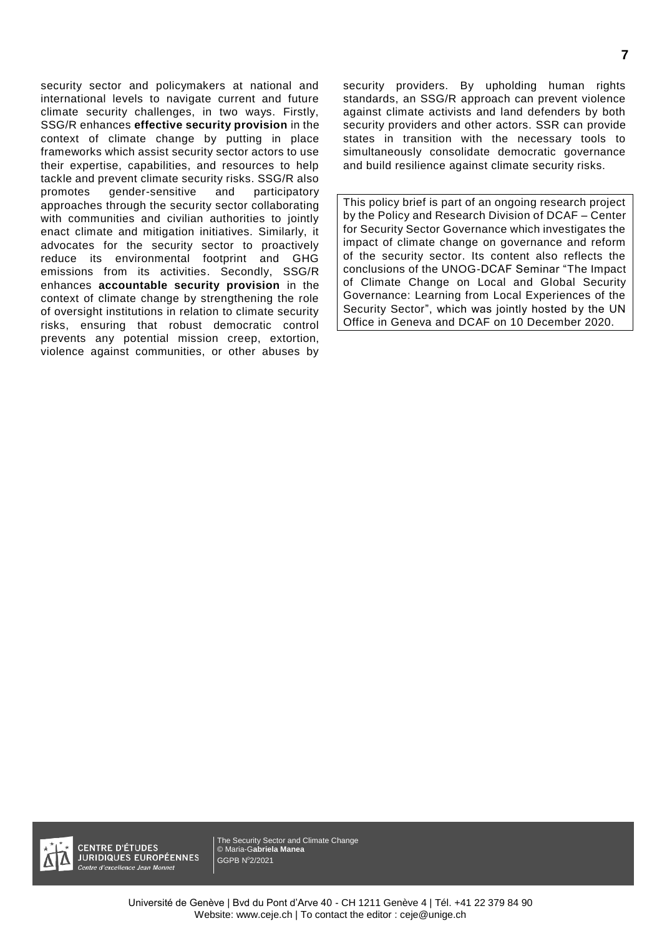security sector and policymakers at national and international levels to navigate current and future climate security challenges, in two ways. Firstly, SSG/R enhances **effective security provision** in the context of climate change by putting in place frameworks which assist security sector actors to use their expertise, capabilities, and resources to help tackle and prevent climate security risks. SSG/R also promotes gender-sensitive and participatory approaches through the security sector collaborating with communities and civilian authorities to jointly enact climate and mitigation initiatives. Similarly, it advocates for the security sector to proactively reduce its environmental footprint and GHG emissions from its activities. Secondly, SSG/R enhances **accountable security provision** in the context of climate change by strengthening the role of oversight institutions in relation to climate security risks, ensuring that robust democratic control prevents any potential mission creep, extortion, violence against communities, or other abuses by

security providers. By upholding human rights standards, an SSG/R approach can prevent violence against climate activists and land defenders by both security providers and other actors. SSR can provide states in transition with the necessary tools to simultaneously consolidate democratic governance and build resilience against climate security risks.

This policy brief is part of an ongoing research project by the Policy and Research Division of DCAF – Center for Security Sector Governance which investigates the impact of climate change on governance and reform of the security sector. Its content also reflects the conclusions of the UNOG-DCAF Seminar "The Impact of Climate Change on Local and Global Security Governance: Learning from Local Experiences of the Security Sector", which was jointly hosted by the UN Office in Geneva and DCAF on 10 December 2020.

**CENTRE D'ÉTUDES JURIDIQUES EUROPÉENNES** ntre d'excellence Jean Monnet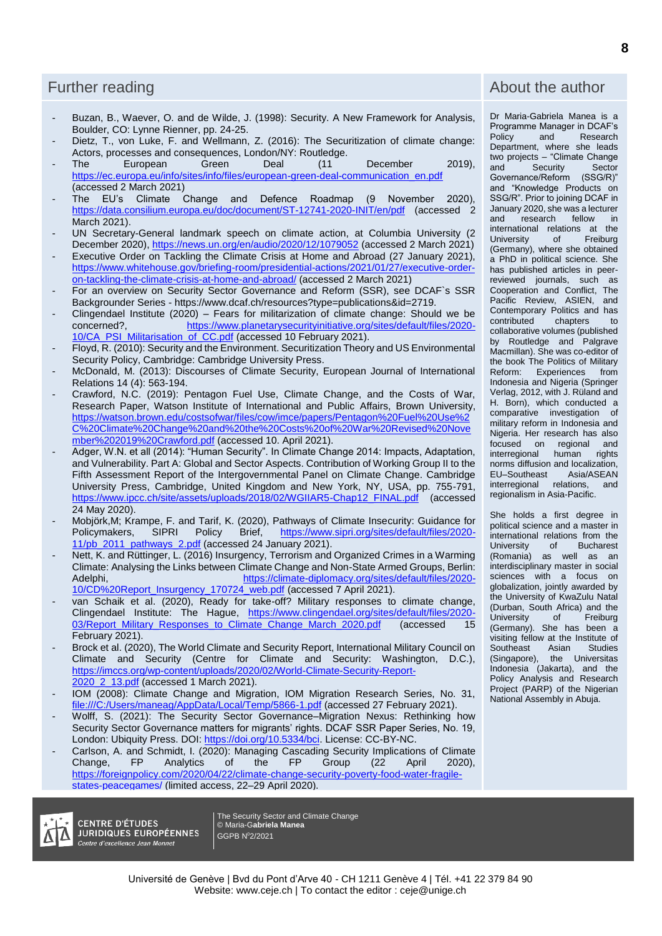- Buzan, B., Waever, O. and de Wilde, J. (1998): Security. A New Framework for Analysis, Boulder, CO: Lynne Rienner, pp. 24-25.
- Dietz, T., von Luke, F. and Wellmann, Z. (2016): The Securitization of climate change: Actors, processes and consequences, London/NY: Routledge.<br>The European Green Deal (11
- The European Green Deal (11 December 2019), [https://ec.europa.eu/info/sites/info/files/european-green-deal-communication\\_en.pdf](https://ec.europa.eu/info/sites/info/files/european-green-deal-communication_en.pdf) (accessed 2 March 2021)
- The EU's Climate Change and Defence Roadmap (9 November 2020), <https://data.consilium.europa.eu/doc/document/ST-12741-2020-INIT/en/pdf> (accessed 2 March 2021).
- UN Secretary-General landmark speech on climate action, at Columbia University (2) December 2020),<https://news.un.org/en/audio/2020/12/1079052> (accessed 2 March 2021) Executive Order on Tackling the Climate Crisis at Home and Abroad (27 January 2021),
- [https://www.whitehouse.gov/briefing-room/presidential-actions/2021/01/27/executive-order](https://www.whitehouse.gov/briefing-room/presidential-actions/2021/01/27/executive-order-on-tackling-the-climate-crisis-at-home-and-abroad/)[on-tackling-the-climate-crisis-at-home-and-abroad/](https://www.whitehouse.gov/briefing-room/presidential-actions/2021/01/27/executive-order-on-tackling-the-climate-crisis-at-home-and-abroad/) (accessed 2 March 2021)
- For an overview on Security Sector Governance and Reform (SSR), see DCAF`s SSR Backgrounder Series - https://www.dcaf.ch/resources?type=publications&id=2719.
- Clingendael Institute (2020) Fears for militarization of climate change: Should we be concerned?, [https://www.planetarysecurityinitiative.org/sites/default/files/2020-](https://www.planetarysecurityinitiative.org/sites/default/files/2020-10/CA_PSI_Militarisation_of_CC.pdf) [10/CA\\_PSI\\_Militarisation\\_of\\_CC.pdf](https://www.planetarysecurityinitiative.org/sites/default/files/2020-10/CA_PSI_Militarisation_of_CC.pdf) (accessed 10 February 2021).
- Floyd, R. (2010): Security and the Environment. Securitization Theory and US Environmental Security Policy, Cambridge: Cambridge University Press.
- McDonald, M. (2013): Discourses of Climate Security, European Journal of International Relations 14 (4): 563-194.
- Crawford, N.C. (2019): Pentagon Fuel Use, Climate Change, and the Costs of War, Research Paper, Watson Institute of International and Public Affairs, Brown University, [https://watson.brown.edu/costsofwar/files/cow/imce/papers/Pentagon%20Fuel%20Use%2](https://watson.brown.edu/costsofwar/files/cow/imce/papers/Pentagon%20Fuel%20Use%2C%20Climate%20Change%20and%20the%20Costs%20of%20War%20Revised%20November%202019%20Crawford.pdf) [C%20Climate%20Change%20and%20the%20Costs%20of%20War%20Revised%20Nove](https://watson.brown.edu/costsofwar/files/cow/imce/papers/Pentagon%20Fuel%20Use%2C%20Climate%20Change%20and%20the%20Costs%20of%20War%20Revised%20November%202019%20Crawford.pdf) [mber%202019%20Crawford.pdf](https://watson.brown.edu/costsofwar/files/cow/imce/papers/Pentagon%20Fuel%20Use%2C%20Climate%20Change%20and%20the%20Costs%20of%20War%20Revised%20November%202019%20Crawford.pdf) (accessed 10. April 2021).
- Adger, W.N. et all (2014): "Human Security". In Climate Change 2014: Impacts, Adaptation, and Vulnerability. Part A: Global and Sector Aspects. Contribution of Working Group II to the Fifth Assessment Report of the Intergovernmental Panel on Climate Change. Cambridge University Press, Cambridge, United Kingdom and New York, NY, USA, pp. 755-791, [https://www.ipcc.ch/site/assets/uploads/2018/02/WGIIAR5-Chap12\\_FINAL.pdf](https://www.ipcc.ch/site/assets/uploads/2018/02/WGIIAR5-Chap12_FINAL.pdf) (accessed 24 May 2020).
- Mobjörk,M; Krampe, F. and Tarif, K. (2020), Pathways of Climate Insecurity: Guidance for Policymakers, SIPRI Policy Brief, https://www.sipri.org/sites/default/files/2020[https://www.sipri.org/sites/default/files/2020-](https://www.sipri.org/sites/default/files/2020-11/pb_2011_pathways_2.pdf) [11/pb\\_2011\\_pathways\\_2.pdf](https://www.sipri.org/sites/default/files/2020-11/pb_2011_pathways_2.pdf) (accessed 24 January 2021).
- Nett, K. and Rüttinger, L. (2016) Insurgency, Terrorism and Organized Crimes in a Warming Climate: Analysing the Links between Climate Change and Non-State Armed Groups, Berlin:<br>Adelphi, https://climate-diplomacy.org/sites/default/files/2020[https://climate-diplomacy.org/sites/default/files/2020-](https://climate-diplomacy.org/sites/default/files/2020-10/CD%20Report_Insurgency_170724_web.pdf) [10/CD%20Report\\_Insurgency\\_170724\\_web.pdf](https://climate-diplomacy.org/sites/default/files/2020-10/CD%20Report_Insurgency_170724_web.pdf) (accessed 7 April 2021).
- van Schaik et al. (2020), Ready for take-off? Military responses to climate change, Clingendael Institute: The Hague, [https://www.clingendael.org/sites/default/files/2020-](https://www.clingendael.org/sites/default/files/2020-03/Report_Military_Responses_to_Climate_Change_March_2020.pdf)<br>03/Report Military Responses to Climate Change March 2020.pdf (accessed 15 [03/Report\\_Military\\_Responses\\_to\\_Climate\\_Change\\_March\\_2020.pdf](https://www.clingendael.org/sites/default/files/2020-03/Report_Military_Responses_to_Climate_Change_March_2020.pdf) February 2021).
- Brock et al. (2020), The World Climate and Security Report, International Military Council on Climate and Security (Centre for Climate and Security: Washington, D.C.), [https://imccs.org/wp-content/uploads/2020/02/World-Climate-Security-Report-](https://imccs.org/wp-content/uploads/2020/02/World-Climate-Security-Report-2020_2_13.pdf)2020 2 13.pdf (accessed 1 March 2021).
- IOM (2008): Climate Change and Migration, IOM Migration Research Series, No. 31, <file:///C:/Users/maneag/AppData/Local/Temp/5866-1.pdf> (accessed 27 February 2021).
- Wolff, S. (2021): The Security Sector Governance–Migration Nexus: Rethinking how Security Sector Governance matters for migrants' rights. DCAF SSR Paper Series, No. 19, London: Ubiquity Press. DOI: [https://doi.org/10.5334/bci.](https://doi.org/10.5334/bci) License: CC-BY-NC.
- Carlson, A. and Schmidt, I. (2020): Managing Cascading Security Implications of Climate<br>Change. FP Analytics of the FP Group (22 April 2020), Change, FP Analytics of the FP Group (22 April 2020), [https://foreignpolicy.com/2020/04/22/climate-change-security-poverty-food-water-fragile](https://foreignpolicy.com/2020/04/22/climate-change-security-poverty-food-water-fragile-states-peacegames/)[states-peacegames/](https://foreignpolicy.com/2020/04/22/climate-change-security-poverty-food-water-fragile-states-peacegames/) (limited access, 22–29 April 2020).



-

**CENTRE D'ÉTUDES JURIDIQUES EUROPÉENNES** Centre d'excellence Jean Monnet

The Security Sector and Climate Change © Maria-G**abriela Manea** GGPB N<sup>0</sup>2/2021

## Further reading and the author of the author and the author of the author  $\alpha$

Dr Maria-Gabriela Manea is a Programme Manager in DCAF's Research Department, where she leads two projects – "Climate Change<br>and Security Sector Security Sector<br>
ce/Reform (SSG/R)" Governance/Reform and "Knowledge Products on SSG/R". Prior to joining DCAF in January 2020, she was a lecturer research international relations at the<br>University of Freiburg Freiburg (Germany), where she obtained a PhD in political science. She has published articles in peerreviewed journals, such as Cooperation and Conflict, The<br>Pacific Review. ASIEN. and Pacific Review, ASIEN, Contemporary Politics and has<br>contributed chapters to contributed collaborative volumes (published by Routledge and Palgrave Macmillan). She was co-editor of the book The Politics of Military Reform: Experiences from Indonesia and Nigeria (Springer Verlag, 2012, with J. Rüland and H. Born), which conducted a comparative investigation of military reform in Indonesia and Nigeria. Her research has also<br>focused on regional and on regional and interregional human rights norms diffusion and localization,<br>EU-Southeast Asia/ASEAN EU-Southeast interregional relations, and regionalism in Asia-Pacific.

She holds a first degree in political science and a master in international relations from the<br>University of Bucharest Bucharest (Romania) as well as an interdisciplinary master in social sciences with a focus on globalization, jointly awarded by the University of KwaZulu Natal (Durban, South Africa) and the University of Freiburg (Germany). She has been a visiting fellow at the Institute of<br>Southeast Asian Studies Asian Asian (Singapore), the Universitas Indonesia (Jakarta), and the Policy Analysis and Research Project (PARP) of the Nigerian National Assembly in Abuja.